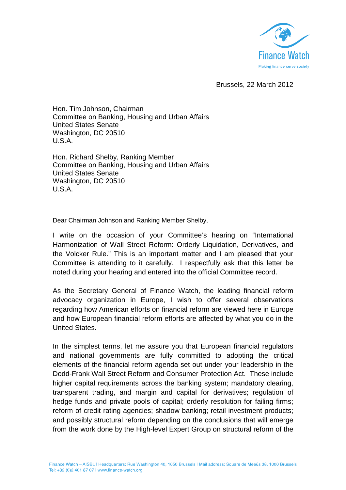

Brussels, 22 March 2012

Hon. Tim Johnson, Chairman Committee on Banking, Housing and Urban Affairs United States Senate Washington, DC 20510 U.S.A.

Hon. Richard Shelby, Ranking Member Committee on Banking, Housing and Urban Affairs United States Senate Washington, DC 20510 U.S.A.

Dear Chairman Johnson and Ranking Member Shelby,

I write on the occasion of your Committee's hearing on "International Harmonization of Wall Street Reform: Orderly Liquidation, Derivatives, and the Volcker Rule." This is an important matter and I am pleased that your Committee is attending to it carefully. I respectfully ask that this letter be noted during your hearing and entered into the official Committee record.

As the Secretary General of Finance Watch, the leading financial reform advocacy organization in Europe, I wish to offer several observations regarding how American efforts on financial reform are viewed here in Europe and how European financial reform efforts are affected by what you do in the United States.

In the simplest terms, let me assure you that European financial regulators and national governments are fully committed to adopting the critical elements of the financial reform agenda set out under your leadership in the Dodd-Frank Wall Street Reform and Consumer Protection Act. These include higher capital requirements across the banking system; mandatory clearing, transparent trading, and margin and capital for derivatives; regulation of hedge funds and private pools of capital; orderly resolution for failing firms; reform of credit rating agencies; shadow banking; retail investment products; and possibly structural reform depending on the conclusions that will emerge from the work done by the High-level Expert Group on structural reform of the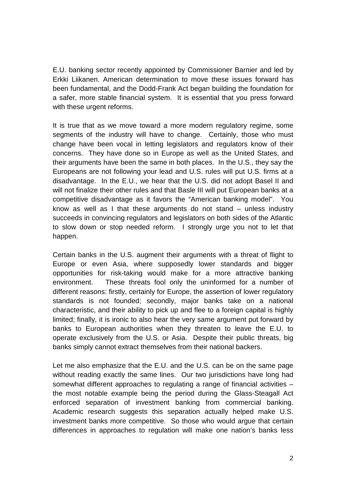E.U. banking sector recently appointed by Commissioner Barnier and led by Erkki Liikanen. American determination to move these issues forward has been fundamental, and the Dodd-Frank Act began building the foundation for a safer, more stable financial system. It is essential that you press forward with these urgent reforms.

It is true that as we move toward a more modern regulatory regime, some segments of the industry will have to change. Certainly, those who must change have been vocal in letting legislators and regulators know of their concerns. They have done so in Europe as well as the United States, and their arguments have been the same in both places. In the U.S., they say the Europeans are not following your lead and U.S. rules will put U.S. firms at a disadvantage. In the E.U., we hear that the U.S. did not adopt Basel II and will not finalize their other rules and that Basle III will put European banks at a competitive disadvantage as it favors the "American banking model". You know as well as I that these arguments do not stand – unless industry succeeds in convincing regulators and legislators on both sides of the Atlantic to slow down or stop needed reform. I strongly urge you not to let that happen.

Certain banks in the U.S. augment their arguments with a threat of flight to Europe or even Asia, where supposedly lower standards and bigger opportunities for risk-taking would make for a more attractive banking environment. These threats fool only the uninformed for a number of different reasons: firstly, certainly for Europe, the assertion of lower regulatory standards is not founded; secondly, major banks take on a national characteristic, and their ability to pick up and flee to a foreign capital is highly limited; finally, it is ironic to also hear the very same argument put forward by banks to European authorities when they threaten to leave the E.U. to operate exclusively from the U.S. or Asia. Despite their public threats, big banks simply cannot extract themselves from their national backers.

Let me also emphasize that the E.U. and the U.S. can be on the same page without reading exactly the same lines. Our two jurisdictions have long had somewhat different approaches to regulating a range of financial activities – the most notable example being the period during the Glass-Steagall Act enforced separation of investment banking from commercial banking. Academic research suggests this separation actually helped make U.S. investment banks more competitive. So those who would argue that certain differences in approaches to regulation will make one nation's banks less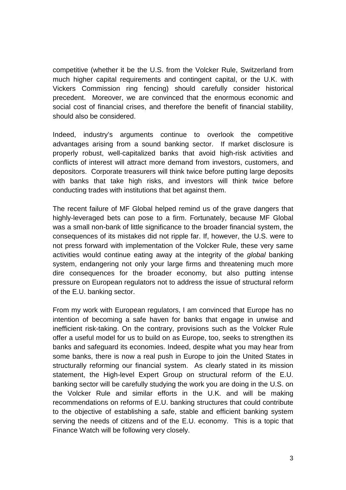competitive (whether it be the U.S. from the Volcker Rule, Switzerland from much higher capital requirements and contingent capital, or the U.K. with Vickers Commission ring fencing) should carefully consider historical precedent. Moreover, we are convinced that the enormous economic and social cost of financial crises, and therefore the benefit of financial stability, should also be considered.

Indeed, industry's arguments continue to overlook the competitive advantages arising from a sound banking sector. If market disclosure is properly robust, well-capitalized banks that avoid high-risk activities and conflicts of interest will attract more demand from investors, customers, and depositors. Corporate treasurers will think twice before putting large deposits with banks that take high risks, and investors will think twice before conducting trades with institutions that bet against them.

The recent failure of MF Global helped remind us of the grave dangers that highly-leveraged bets can pose to a firm. Fortunately, because MF Global was a small non-bank of little significance to the broader financial system, the consequences of its mistakes did not ripple far. If, however, the U.S. were to not press forward with implementation of the Volcker Rule, these very same activities would continue eating away at the integrity of the global banking system, endangering not only your large firms and threatening much more dire consequences for the broader economy, but also putting intense pressure on European regulators not to address the issue of structural reform of the E.U. banking sector.

From my work with European regulators, I am convinced that Europe has no intention of becoming a safe haven for banks that engage in unwise and inefficient risk-taking. On the contrary, provisions such as the Volcker Rule offer a useful model for us to build on as Europe, too, seeks to strengthen its banks and safeguard its economies. Indeed, despite what you may hear from some banks, there is now a real push in Europe to join the United States in structurally reforming our financial system. As clearly stated in its mission statement, the High-level Expert Group on structural reform of the E.U. banking sector will be carefully studying the work you are doing in the U.S. on the Volcker Rule and similar efforts in the U.K. and will be making recommendations on reforms of E.U. banking structures that could contribute to the objective of establishing a safe, stable and efficient banking system serving the needs of citizens and of the E.U. economy. This is a topic that Finance Watch will be following very closely.